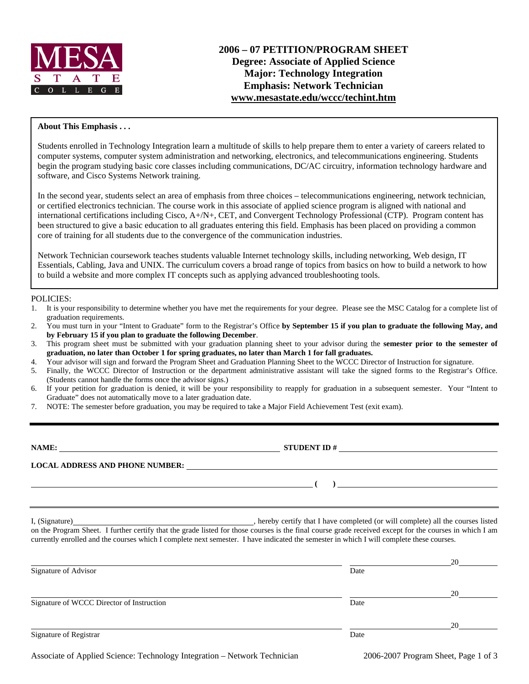

### **About This Emphasis . . .**

Students enrolled in Technology Integration learn a multitude of skills to help prepare them to enter a variety of careers related to computer systems, computer system administration and networking, electronics, and telecommunications engineering. Students begin the program studying basic core classes including communications, DC/AC circuitry, information technology hardware and software, and Cisco Systems Network training.

In the second year, students select an area of emphasis from three choices – telecommunications engineering, network technician, or certified electronics technician. The course work in this associate of applied science program is aligned with national and international certifications including Cisco, A+/N+, CET, and Convergent Technology Professional (CTP). Program content has been structured to give a basic education to all graduates entering this field. Emphasis has been placed on providing a common core of training for all students due to the convergence of the communication industries.

Network Technician coursework teaches students valuable Internet technology skills, including networking, Web design, IT Essentials, Cabling, Java and UNIX. The curriculum covers a broad range of topics from basics on how to build a network to how to build a website and more complex IT concepts such as applying advanced troubleshooting tools.

#### POLICIES:

- 1. It is your responsibility to determine whether you have met the requirements for your degree. Please see the MSC Catalog for a complete list of graduation requirements.
- 2. You must turn in your "Intent to Graduate" form to the Registrar's Office **by September 15 if you plan to graduate the following May, and by February 15 if you plan to graduate the following December**.
- 3. This program sheet must be submitted with your graduation planning sheet to your advisor during the **semester prior to the semester of graduation, no later than October 1 for spring graduates, no later than March 1 for fall graduates.**
- 4. Your advisor will sign and forward the Program Sheet and Graduation Planning Sheet to the WCCC Director of Instruction for signature.
- 5. Finally, the WCCC Director of Instruction or the department administrative assistant will take the signed forms to the Registrar's Office. (Students cannot handle the forms once the advisor signs.)
- 6. If your petition for graduation is denied, it will be your responsibility to reapply for graduation in a subsequent semester. Your "Intent to Graduate" does not automatically move to a later graduation date.
- 7. NOTE: The semester before graduation, you may be required to take a Major Field Achievement Test (exit exam).

**NAME:**  $\qquad \qquad \qquad$  **STUDENT ID # LOCAL ADDRESS AND PHONE NUMBER: ( )** 

I, (Signature) , hereby certify that I have completed (or will complete) all the courses listed

on the Program Sheet. I further certify that the grade listed for those courses is the final course grade received except for the courses in which I am currently enrolled and the courses which I complete next semester. I have indicated the semester in which I will complete these courses.

|                                           |      | 20 |
|-------------------------------------------|------|----|
| Signature of Advisor                      | Date |    |
|                                           |      | 20 |
| Signature of WCCC Director of Instruction | Date |    |
|                                           |      | 20 |
| Signature of Registrar                    | Date |    |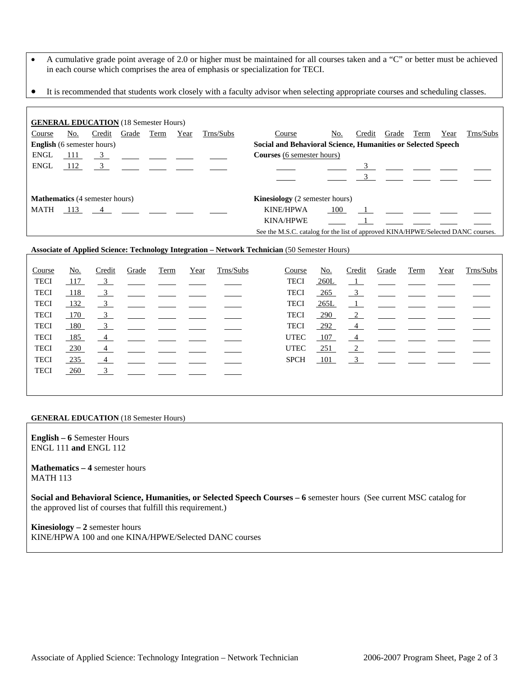- A cumulative grade point average of 2.0 or higher must be maintained for all courses taken and a "C" or better must be achieved in each course which comprises the area of emphasis or specialization for TECI.
- It is recommended that students work closely with a faculty advisor when selecting appropriate courses and scheduling classes.

|                                       |       | <b>GENERAL EDUCATION</b> (18 Semester Hours) |                |      |                                                              |           |                                                                                  |     |        |                                |      |      |           |
|---------------------------------------|-------|----------------------------------------------|----------------|------|--------------------------------------------------------------|-----------|----------------------------------------------------------------------------------|-----|--------|--------------------------------|------|------|-----------|
| Course                                | No.   | Credit                                       | Grade          | Term | Year                                                         | Trns/Subs | Course                                                                           | No. | Credit | Grade                          | Term | Year | Trns/Subs |
| <b>English</b> (6 semester hours)     |       |                                              |                |      | Social and Behavioral Science, Humanities or Selected Speech |           |                                                                                  |     |        |                                |      |      |           |
| ENGL                                  | - 111 |                                              | $\overline{3}$ |      |                                                              |           | <b>Courses</b> (6 semester hours)                                                |     |        |                                |      |      |           |
| <b>ENGL</b>                           | 112   | 3 ____ ___ ___ ___ __                        |                |      |                                                              |           |                                                                                  |     |        |                                |      |      |           |
|                                       |       |                                              |                |      |                                                              |           |                                                                                  |     |        | $3 \left( \frac{1}{2} \right)$ |      |      |           |
| <b>Mathematics</b> (4 semester hours) |       |                                              |                |      |                                                              |           | <b>Kinesiology</b> (2 semester hours)                                            |     |        |                                |      |      |           |
| MATH                                  |       | $113 \t 4$                                   |                |      |                                                              |           | <b>KINE/HPWA</b>                                                                 | 100 |        |                                |      |      |           |
|                                       |       |                                              |                |      |                                                              |           | <b>KINA/HPWE</b>                                                                 |     |        |                                |      |      |           |
|                                       |       |                                              |                |      |                                                              |           | See the M.S.C. catalog for the list of approved KINA/HPWE/Selected DANC courses. |     |        |                                |      |      |           |

#### **Associate of Applied Science: Technology Integration – Network Technician** (50 Semester Hours)

| Course      | No. | Credit                    | Grade | Term | Year | Trns/Subs | Course      | No.        | Credit               | Grade | Term | Year | Trns/Subs |
|-------------|-----|---------------------------|-------|------|------|-----------|-------------|------------|----------------------|-------|------|------|-----------|
| <b>TECI</b> | 117 | $\overline{\mathbf{3}}$   |       |      |      |           | <b>TECI</b> | 260L       | $\frac{1}{\sqrt{2}}$ |       |      |      |           |
| <b>TECI</b> | 118 | $\overline{\mathbf{3}}$   |       |      |      |           | <b>TECI</b> | $-265$     | $\overline{3}$       |       |      |      |           |
| <b>TECI</b> | 132 | $\frac{3}{2}$             |       |      |      |           | <b>TECI</b> | 265L       | $\perp$              |       |      |      |           |
| <b>TECI</b> | 170 | $\overline{\phantom{0}3}$ |       |      |      |           | <b>TECI</b> | $-290$     | $\frac{2}{2}$        |       |      |      |           |
| <b>TECI</b> | 180 | $\frac{3}{2}$             |       |      |      |           | <b>TECI</b> | 292        | $\frac{4}{1}$        |       |      |      |           |
| <b>TECI</b> | 185 | $\frac{4}{ }$             |       |      |      |           | <b>UTEC</b> | <u>107</u> | 4                    |       |      |      |           |
| <b>TECI</b> | 230 | $\frac{4}{ }$             |       |      |      |           | <b>UTEC</b> | $-251$     | 2                    |       |      |      |           |
| <b>TECI</b> | 235 | $\overline{4}$            |       |      |      |           | <b>SPCH</b> | <b>101</b> | $\overline{3}$       |       |      |      |           |
| <b>TECI</b> | 260 | $\overline{\mathbf{3}}$   |       |      |      |           |             |            |                      |       |      |      |           |
|             |     |                           |       |      |      |           |             |            |                      |       |      |      |           |

#### **GENERAL EDUCATION** (18 Semester Hours)

**English – 6** Semester Hours ENGL 111 **and** ENGL 112

**Mathematics – 4** semester hours MATH 113

**Social and Behavioral Science, Humanities, or Selected Speech Courses – 6** semester hours (See current MSC catalog for the approved list of courses that fulfill this requirement.)

**Kinesiology – 2** semester hours KINE/HPWA 100 and one KINA/HPWE/Selected DANC courses